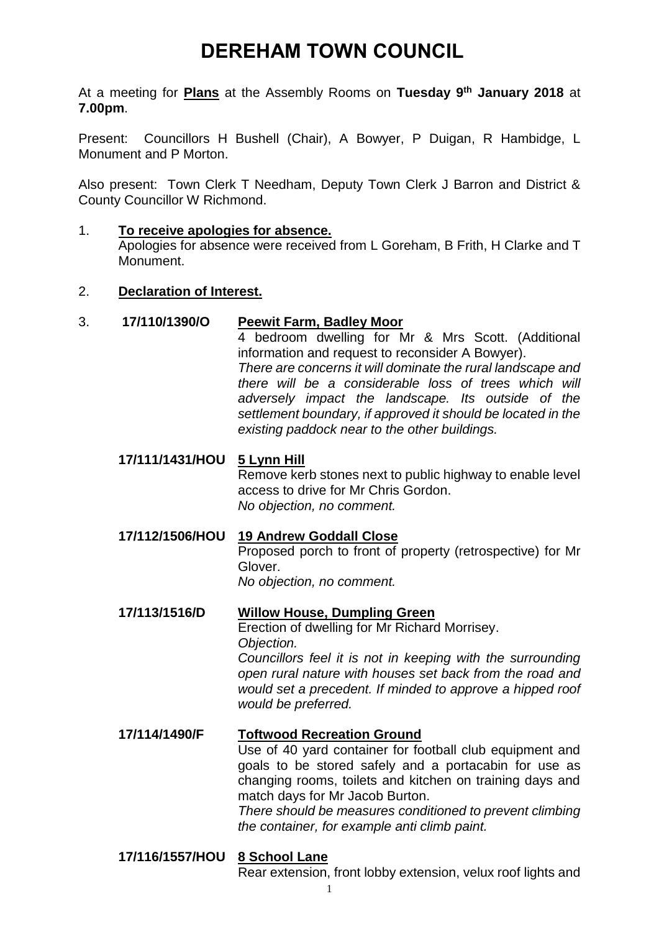# **DEREHAM TOWN COUNCIL**

At a meeting for **Plans** at the Assembly Rooms on **Tuesday 9 th January 2018** at **7.00pm**.

Present: Councillors H Bushell (Chair), A Bowyer, P Duigan, R Hambidge, L Monument and P Morton.

Also present: Town Clerk T Needham, Deputy Town Clerk J Barron and District & County Councillor W Richmond.

#### 1. **To receive apologies for absence.**

Apologies for absence were received from L Goreham, B Frith, H Clarke and T Monument.

#### 2. **Declaration of Interest.**

## 3. **17/110/1390/O Peewit Farm, Badley Moor**

4 bedroom dwelling for Mr & Mrs Scott. (Additional information and request to reconsider A Bowyer). *There are concerns it will dominate the rural landscape and there will be a considerable loss of trees which will adversely impact the landscape. Its outside of the settlement boundary, if approved it should be located in the existing paddock near to the other buildings.*

# **17/111/1431/HOU 5 Lynn Hill**

Remove kerb stones next to public highway to enable level access to drive for Mr Chris Gordon. *No objection, no comment.*

## **17/112/1506/HOU 19 Andrew Goddall Close**

Proposed porch to front of property (retrospective) for Mr Glover.

*No objection, no comment.*

# **17/113/1516/D Willow House, Dumpling Green**

Erection of dwelling for Mr Richard Morrisey. *Objection.*

*Councillors feel it is not in keeping with the surrounding open rural nature with houses set back from the road and would set a precedent. If minded to approve a hipped roof would be preferred.*

# **17/114/1490/F Toftwood Recreation Ground** Use of 40 yard container for football club equipment and goals to be stored safely and a portacabin for use as changing rooms, toilets and kitchen on training days and match days for Mr Jacob Burton. *There should be measures conditioned to prevent climbing*

*the container, for example anti climb paint.*

# **17/116/1557/HOU 8 School Lane**

Rear extension, front lobby extension, velux roof lights and